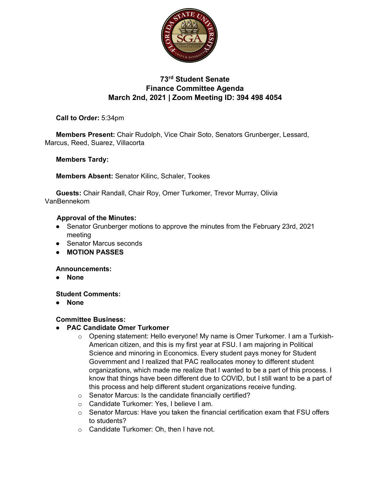

# **73rd Student Senate Finance Committee Agenda March 2nd, 2021 | Zoom Meeting ID: 394 498 4054**

**Call to Order:** 5:34pm

**Members Present:** Chair Rudolph, Vice Chair Soto, Senators Grunberger, Lessard, Marcus, Reed, Suarez, Villacorta

**Members Tardy:** 

**Members Absent:** Senator Kilinc, Schaler, Tookes

**Guests:** Chair Randall, Chair Roy, Omer Turkomer, Trevor Murray, Olivia VanBennekom

#### **Approval of the Minutes:**

- Senator Grunberger motions to approve the minutes from the February 23rd, 2021 meeting
- Senator Marcus seconds
- **MOTION PASSES**

**Announcements:**

● **None**

**Student Comments:**

● **None**

#### **Committee Business:**

- **PAC Candidate Omer Turkomer**
	- o Opening statement: Hello everyone! My name is Omer Turkomer. I am a Turkish-American citizen, and this is my first year at FSU. I am majoring in Political Science and minoring in Economics. Every student pays money for Student Government and I realized that PAC reallocates money to different student organizations, which made me realize that I wanted to be a part of this process. I know that things have been different due to COVID, but I still want to be a part of this process and help different student organizations receive funding.
	- o Senator Marcus: Is the candidate financially certified?
	- o Candidate Turkomer: Yes, I believe I am.
	- $\circ$  Senator Marcus: Have you taken the financial certification exam that FSU offers to students?
	- o Candidate Turkomer: Oh, then I have not.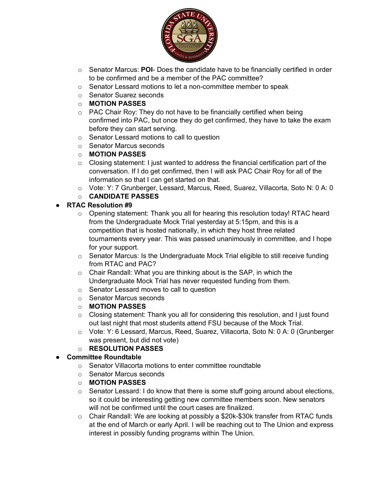

- o Senator Marcus: **POI** Does the candidate have to be financially certified in order to be confirmed and be a member of the PAC committee?
- o Senator Lessard motions to let a non-committee member to speak
- o Senator Suarez seconds
- o **MOTION PASSES**
- $\circ$  PAC Chair Roy: They do not have to be financially certified when being confirmed into PAC, but once they do get confirmed, they have to take the exam before they can start serving.
- o Senator Lessard motions to call to question
- o Senator Marcus seconds
- o **MOTION PASSES**
- $\circ$  Closing statement: I just wanted to address the financial certification part of the conversation. If I do get confirmed, then I will ask PAC Chair Roy for all of the information so that I can get started on that.
- o Vote: Y: 7 Grunberger, Lessard, Marcus, Reed, Suarez, Villacorta, Soto N: 0 A: 0

## o **CANDIDATE PASSES**

## ● **RTAC Resolution #9**

- $\circ$  Opening statement: Thank you all for hearing this resolution today! RTAC heard from the Undergraduate Mock Trial yesterday at 5:15pm, and this is a competition that is hosted nationally, in which they host three related tournaments every year. This was passed unanimously in committee, and I hope for your support.
- $\circ$  Senator Marcus: Is the Undergraduate Mock Trial eligible to still receive funding from RTAC and PAC?
- $\circ$  Chair Randall: What you are thinking about is the SAP, in which the Undergraduate Mock Trial has never requested funding from them.
- o Senator Lessard moves to call to question
- o Senator Marcus seconds
- o **MOTION PASSES**
- $\circ$  Closing statement: Thank you all for considering this resolution, and I just found out last night that most students attend FSU because of the Mock Trial.
- o Vote: Y: 6 Lessard, Marcus, Reed, Suarez, Villacorta, Soto N: 0 A: 0 (Grunberger was present, but did not vote)
- o **RESOLUTION PASSES**

## **Committee Roundtable**

- $\circ$  Senator Villacorta motions to enter committee roundtable
- o Senator Marcus seconds
- o **MOTION PASSES**
- o Senator Lessard: I do know that there is some stuff going around about elections, so it could be interesting getting new committee members soon. New senators will not be confirmed until the court cases are finalized.
- $\circ$  Chair Randall: We are looking at possibly a \$20k-\$30k transfer from RTAC funds at the end of March or early April. I will be reaching out to The Union and express interest in possibly funding programs within The Union.